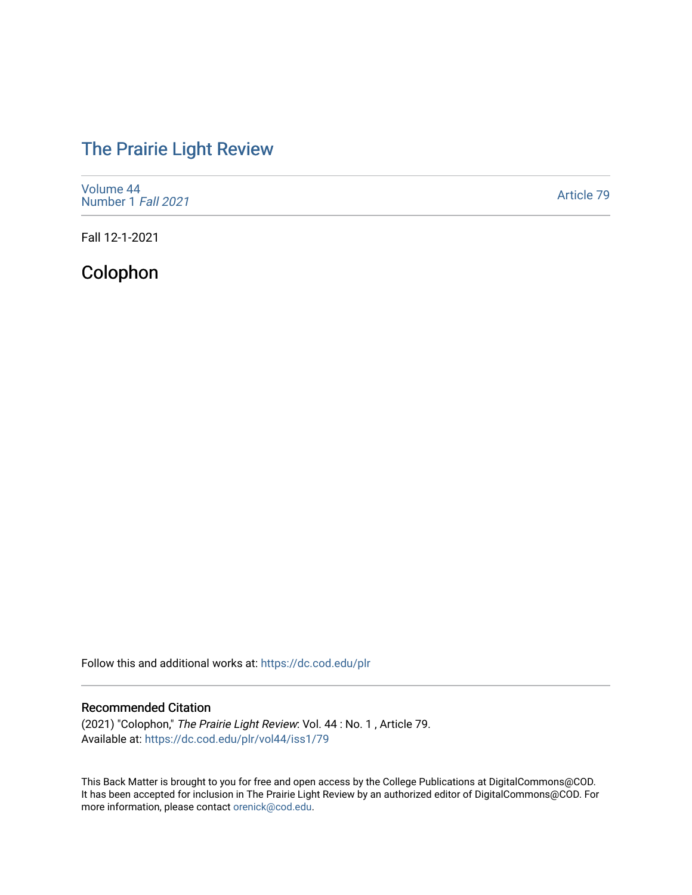# [The Prairie Light Review](https://dc.cod.edu/plr)

| Volume 44<br>Number 1 Fall 2021 | Article 79 |
|---------------------------------|------------|
|---------------------------------|------------|

Fall 12-1-2021

## Colophon

Follow this and additional works at: [https://dc.cod.edu/plr](https://dc.cod.edu/plr?utm_source=dc.cod.edu%2Fplr%2Fvol44%2Fiss1%2F79&utm_medium=PDF&utm_campaign=PDFCoverPages) 

## Recommended Citation

(2021) "Colophon," The Prairie Light Review: Vol. 44 : No. 1 , Article 79. Available at: [https://dc.cod.edu/plr/vol44/iss1/79](https://dc.cod.edu/plr/vol44/iss1/79?utm_source=dc.cod.edu%2Fplr%2Fvol44%2Fiss1%2F79&utm_medium=PDF&utm_campaign=PDFCoverPages)

This Back Matter is brought to you for free and open access by the College Publications at DigitalCommons@COD. It has been accepted for inclusion in The Prairie Light Review by an authorized editor of DigitalCommons@COD. For more information, please contact [orenick@cod.edu.](mailto:orenick@cod.edu)